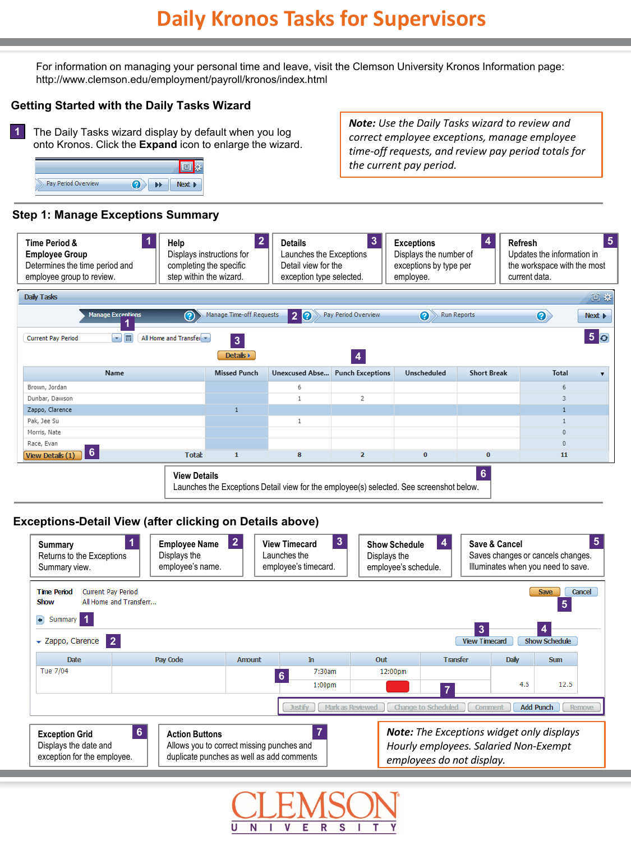For information on managing your personal time and leave, visit the Clemson University Kronos Information page: http://www.clemson.edu/employment/payroll/kronos/index.html

#### **Getting Started with the Daily Tasks Wizard**

The Daily Tasks wizard display by default when you log onto Kronos. Click the **Expand** icon to enlarge the wizard. **1**



## **Step 1: Manage Exceptions Summary**

**5 1 Exceptions 2 3 4 Time Period & Help Details Refresh** Launches the Exceptions **Employee Group** Displays instructions for Displays the number of Updates the information in Determines the time period and completing the specific Detail view for the exceptions by type per the workspace with the most employee group to review. step within the wizard. exception type selected. employee. current data. Daily Tasks  $\Box$  :  $\Diamond$ Run Reports **Manage Exce** Manage Time-off Requests **2** മ Pay Period Overview 0  $\left( 2\right)$ Next **F 1**  $\blacksquare$   $\blacksquare$ All Home and Transfer **5 3 Current Pay Period**  $[$  Details  $)$ **4 Missed Punch Unexcused Abse...** Punch Exceptions **Short Break** Name Unscheduled Total ۳. Brown, Jordan 6 6 Dunbar, Dawson  $\mathbf{1}$  $\overline{2}$ 3 Zappo, Clarence ĭ  $\mathbf{1}$ Pak, Jee Su  $\mathbf{1}$ 1 Morris, Nate  $\circ$ Race, Evan  $\overline{0}$ **6** View Details (1) **Total:**  $\mathbf{1}$ 8  $\overline{2}$  $\overline{0}$  $\overline{0}$ 11 **6 View Details**

Launches the Exceptions Detail view for the employee(s) selected. See screenshot below.

### **Exceptions-Detail View (after clicking on Details above)**



*Note: Use the Daily Tasks wizard to review and correct employee exceptions, manage employee time-off requests, and review pay period totals for the current pay period.*

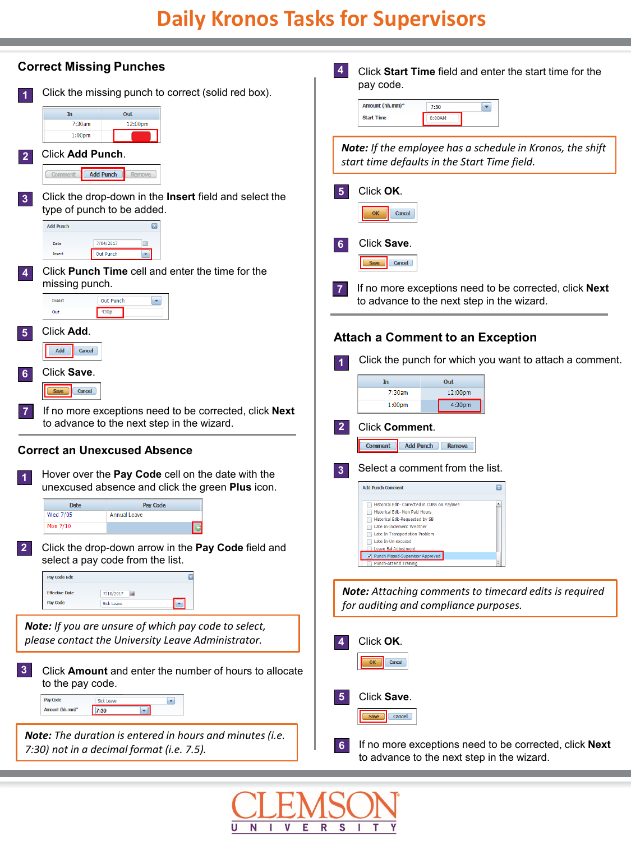# **Daily Kronos Tasks for Supervisors**



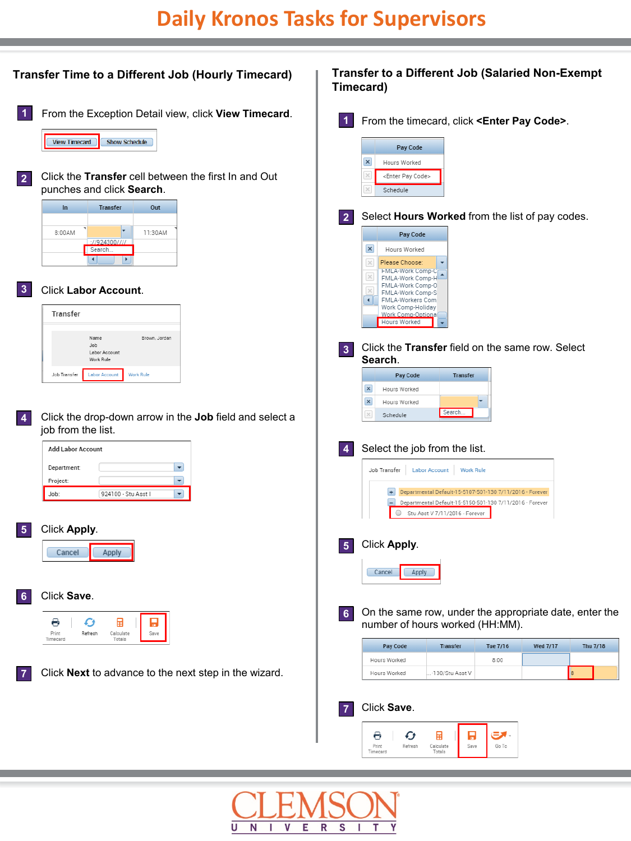

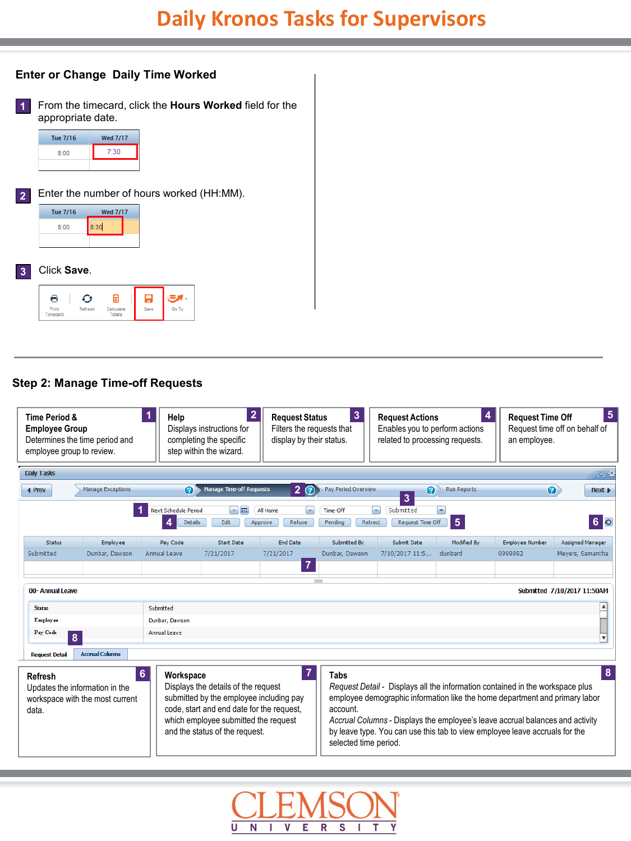# **Daily Kronos Tasks for Supervisors**

#### **Enter or Change Daily Time Worked**

**1** From the timecard, click the **Hours Worked** field for the appropriate date.

| Tue 7/16 | <b>Wed 7/17</b> |
|----------|-----------------|
| 8:00     | 7:30            |
|          |                 |

**2** Enter the number of hours worked (HH:MM).

| Tue 7/16 | <b>Wed 7/17</b> |  |  |
|----------|-----------------|--|--|
| 8:00     | 8:30            |  |  |
|          |                 |  |  |

#### **3** Click **Save**.

|                  |         | п                   | $\blacksquare$ |       |
|------------------|---------|---------------------|----------------|-------|
| Print<br>imecard | Refresh | Calculate<br>Totals | Save           | Go To |

#### **Step 2: Manage Time-off Requests**



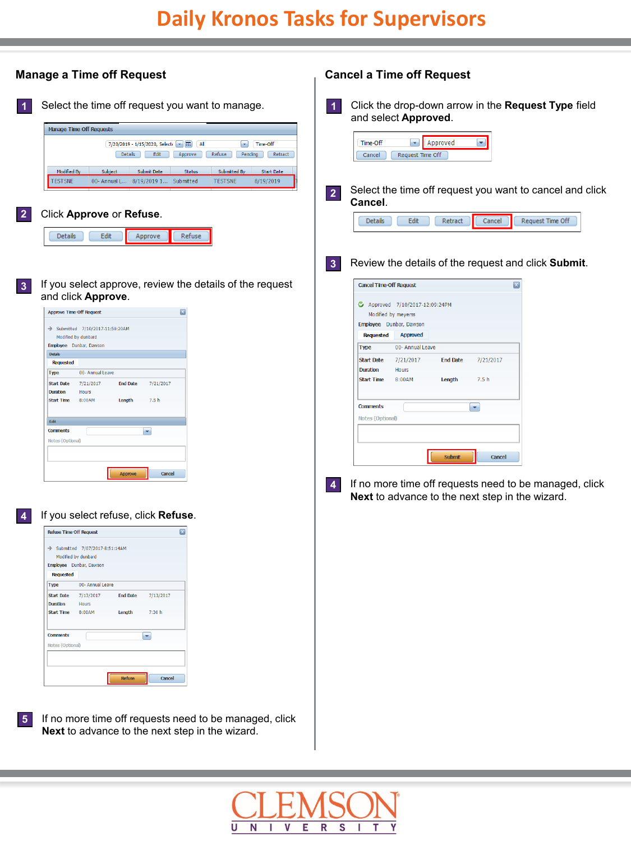

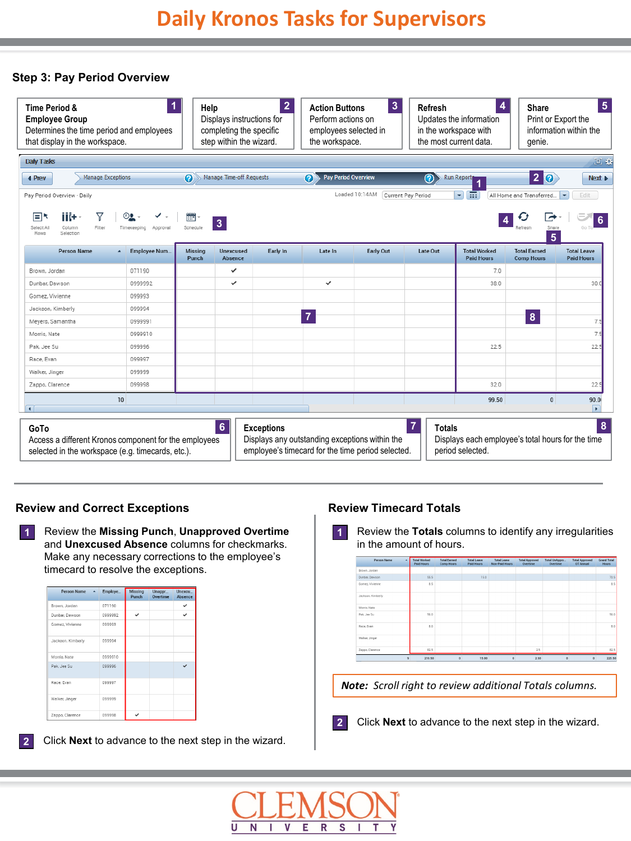#### **Step 3: Pay Period Overview**

| <b>Time Period &amp;</b><br><b>Employee Group</b><br>Determines the time period and employees<br>that display in the workspace. |                  | 1                            | Help                    | Displays instructions for<br>completing the specific<br>step within the wizard. | $\overline{2}$    | <b>Action Buttons</b><br>Perform actions on<br>employees selected in<br>the workspace. | $\mathbf{3}$                                                                                        | Refresh<br>in the workspace with<br>the most current data. | 4<br>Updates the information                                          | Share<br>genie.                          | 5<br>Print or Export the<br>information within the |
|---------------------------------------------------------------------------------------------------------------------------------|------------------|------------------------------|-------------------------|---------------------------------------------------------------------------------|-------------------|----------------------------------------------------------------------------------------|-----------------------------------------------------------------------------------------------------|------------------------------------------------------------|-----------------------------------------------------------------------|------------------------------------------|----------------------------------------------------|
| Daily Tasks                                                                                                                     |                  |                              |                         |                                                                                 |                   |                                                                                        |                                                                                                     |                                                            |                                                                       |                                          | 回收                                                 |
| <b>Manage Exceptions</b><br>4 Prev                                                                                              |                  |                              | $\bullet$               | <b>Manage Time-off Requests</b>                                                 |                   | <b>Pay Period Overview</b><br>$\bullet$                                                |                                                                                                     | $\circledR$                                                | <b>Run Reports</b>                                                    | 20                                       | Next <b>D</b>                                      |
| Pay Period Overview - Daily<br>77<br>iii+<br>Ek<br>Select All<br>Filter<br>Column<br>Rows<br>Selection                          |                  | ೲ<br>Timekeeping<br>Approval | <b>FEE</b><br>Schedule  | $\overline{\mathbf{3}}$                                                         |                   |                                                                                        | Loaded 10:14AM                                                                                      | Current Pay Period                                         | $\blacktriangledown$<br>m                                             | All Home and Transferred<br>Share<br>5   | Edit<br>$\overline{\phantom{a}}$<br>$6\phantom{1}$ |
| <b>Person Name</b>                                                                                                              | $\blacktriangle$ | Employee Num                 | <b>Missing</b><br>Punch | <b>Unexcused</b><br>Absence                                                     | Early In          | Late In                                                                                | <b>Early Out</b>                                                                                    | Late Out                                                   | <b>Total Worked</b><br><b>Paid Hours</b>                              | <b>Total Earned</b><br><b>Comp Hours</b> | <b>Total Leave</b><br><b>Paid Hours</b>            |
| Brown, Jordan                                                                                                                   |                  | 071190                       |                         | ✓                                                                               |                   |                                                                                        |                                                                                                     |                                                            | 7.0                                                                   |                                          |                                                    |
| Dunbar, Dawson                                                                                                                  |                  | 0999992                      |                         | ✓                                                                               |                   | ✓                                                                                      |                                                                                                     |                                                            | 38.0                                                                  |                                          | 30.0                                               |
| Gomez, Vivienne                                                                                                                 |                  | 099993                       |                         |                                                                                 |                   |                                                                                        |                                                                                                     |                                                            |                                                                       |                                          |                                                    |
| Jackson, Kimberly                                                                                                               |                  | 099994                       |                         |                                                                                 |                   |                                                                                        |                                                                                                     |                                                            |                                                                       |                                          |                                                    |
| Meyers, Samantha                                                                                                                |                  | 0999991                      |                         |                                                                                 |                   | $\overline{7}$                                                                         |                                                                                                     |                                                            |                                                                       | $\boldsymbol{8}$                         | 7.5                                                |
| Morris, Nate                                                                                                                    |                  | 0999910                      |                         |                                                                                 |                   |                                                                                        |                                                                                                     |                                                            |                                                                       |                                          | 7.5                                                |
| Pak, Jee Su                                                                                                                     |                  | 099996                       |                         |                                                                                 |                   |                                                                                        |                                                                                                     |                                                            | 22.5                                                                  |                                          | 22!                                                |
| Race, Evan                                                                                                                      |                  | 099997                       |                         |                                                                                 |                   |                                                                                        |                                                                                                     |                                                            |                                                                       |                                          |                                                    |
| Walker, Jinger                                                                                                                  |                  | 099999                       |                         |                                                                                 |                   |                                                                                        |                                                                                                     |                                                            |                                                                       |                                          |                                                    |
| Zappo, Clarence                                                                                                                 |                  | 099998                       |                         |                                                                                 |                   |                                                                                        |                                                                                                     |                                                            | 32.0                                                                  |                                          | 22.5                                               |
|                                                                                                                                 | 10               |                              |                         |                                                                                 |                   |                                                                                        |                                                                                                     |                                                            | 99.50                                                                 | $\bf{0}$                                 | 90.0<br>$\mathbf{F}$                               |
| GoTo<br>Access a different Kronos component for the employees<br>selected in the workspace (e.g. timecards, etc.).              |                  |                              |                         | 6                                                                               | <b>Exceptions</b> |                                                                                        | Displays any outstanding exceptions within the<br>employee's timecard for the time period selected. | $\overline{7}$<br><b>Totals</b>                            | Displays each employee's total hours for the time<br>period selected. |                                          | 8                                                  |

#### **Review and Correct Exceptions**

Review the **Missing Punch**, **Unapproved Overtime**  and **Unexcused Absence** columns for checkmarks. Make any necessary corrections to the employee's timecard to resolve the exceptions. **1**

| Person Name       | Employe | Missing<br>Punch | Unappr<br>Overtime | Unexcu<br>Absence |
|-------------------|---------|------------------|--------------------|-------------------|
| Brown, Jordan     | 071190  |                  |                    |                   |
| Dunbar, Dawson    | 0999992 | ✓                |                    |                   |
| Gomez, Vivienne   | 099993  |                  |                    |                   |
| Jackson, Kimberly | 099994  |                  |                    |                   |
| Morris, Nate      | 0999910 |                  |                    |                   |
| Pak, Jee Su       | 099996  |                  |                    |                   |
| Race, Evan        | 099997  |                  |                    |                   |
| Walker, Jinger    | 099999  |                  |                    |                   |
| Zappo, Clarence   | 099998  |                  |                    |                   |

**2** Click **Next** to advance to the next step in the wizard.

## **Review Timecard Totals**

Review the **Totals** columns to identify any irregularities **1** in the amount of hours.

| <b>Person Name</b><br>$\lambda$ | <b>Total Worked</b><br>Paid Hours | <b>Total Earned</b><br>Comp Hours | <b>Total Leave</b><br>Paid Hours | <b>Total Leave</b><br>Non-Paid Hours | <b>Total Approved</b><br>Overtime | Total UnAppro<br>Overtime | <b>Total Approved</b><br>OT Annual | <b>Grand Total</b><br>Hours. |
|---------------------------------|-----------------------------------|-----------------------------------|----------------------------------|--------------------------------------|-----------------------------------|---------------------------|------------------------------------|------------------------------|
| Brown, Jordan                   |                                   |                                   |                                  |                                      |                                   |                           |                                    |                              |
| Dunber, Dewson                  | 55.5                              |                                   | 15.0                             |                                      |                                   |                           |                                    | 70.5                         |
| Gomez, Vivienne                 | 8.5                               |                                   |                                  |                                      |                                   |                           |                                    | 8.5                          |
| Jackson, Kimberly               |                                   |                                   |                                  |                                      |                                   |                           |                                    |                              |
| Morris, Nate                    |                                   |                                   |                                  |                                      |                                   |                           |                                    |                              |
| Pak, Jee Su                     | 56.0                              |                                   |                                  |                                      |                                   |                           |                                    | 56.0                         |
| Rece, Even                      | 8.0                               |                                   |                                  |                                      |                                   |                           |                                    | 8.0                          |
| Walker, Jinger                  |                                   |                                   |                                  |                                      |                                   |                           |                                    |                              |
| Zappo, Clarence                 | 82.5                              |                                   |                                  |                                      | 2.5                               |                           |                                    | 82.5                         |
| 9                               | 210.50                            | $\circ$                           | 15.00                            | $\mathbf{0}$                         | 2.50                              | $\mathbf{0}$              | $\circ$                            | 225.50                       |

*Note: Scroll right to review additional Totals columns.*

**2** Click **Next** to advance to the next step in the wizard.